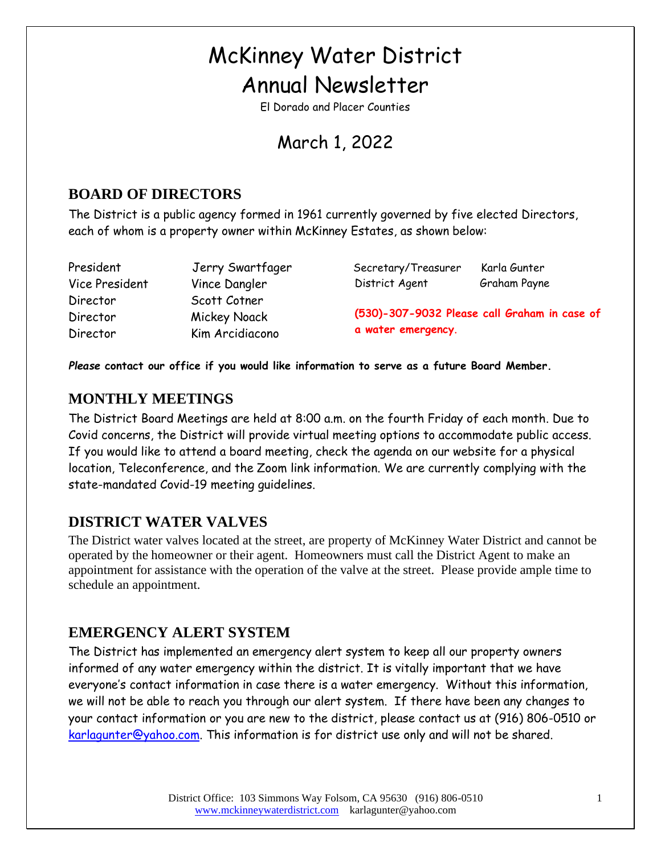# McKinney Water District Annual Newsletter

El Dorado and Placer Counties

# March 1, 2022

# **BOARD OF DIRECTORS**

The District is a public agency formed in 1961 currently governed by five elected Directors, each of whom is a property owner within McKinney Estates, as shown below:

Vice President Vince Dangler Director Scott Cotner Director Mickey Noack Director Kim Arcidiacono

President Jerry Swartfager Secretary/Treasurer Karla Gunter District Agent Graham Payne

**(530)-307-9032 Please call Graham in case of a water emergency**.

*Please* **contact our office if you would like information to serve as a future Board Member.**

# **MONTHLY MEETINGS**

The District Board Meetings are held at 8:00 a.m. on the fourth Friday of each month. Due to Covid concerns, the District will provide virtual meeting options to accommodate public access. If you would like to attend a board meeting, check the agenda on our website for a physical location, Teleconference, and the Zoom link information. We are currently complying with the state-mandated Covid-19 meeting guidelines.

### **DISTRICT WATER VALVES**

The District water valves located at the street, are property of McKinney Water District and cannot be operated by the homeowner or their agent. Homeowners must call the District Agent to make an appointment for assistance with the operation of the valve at the street. Please provide ample time to schedule an appointment.

### **EMERGENCY ALERT SYSTEM**

The District has implemented an emergency alert system to keep all our property owners informed of any water emergency within the district. It is vitally important that we have everyone's contact information in case there is a water emergency. Without this information, we will not be able to reach you through our alert system. If there have been any changes to your contact information or you are new to the district, please contact us at (916) 806-0510 or [karlagunter@yahoo.com.](mailto:karlagunter@yahoo.com) This information is for district use only and will not be shared.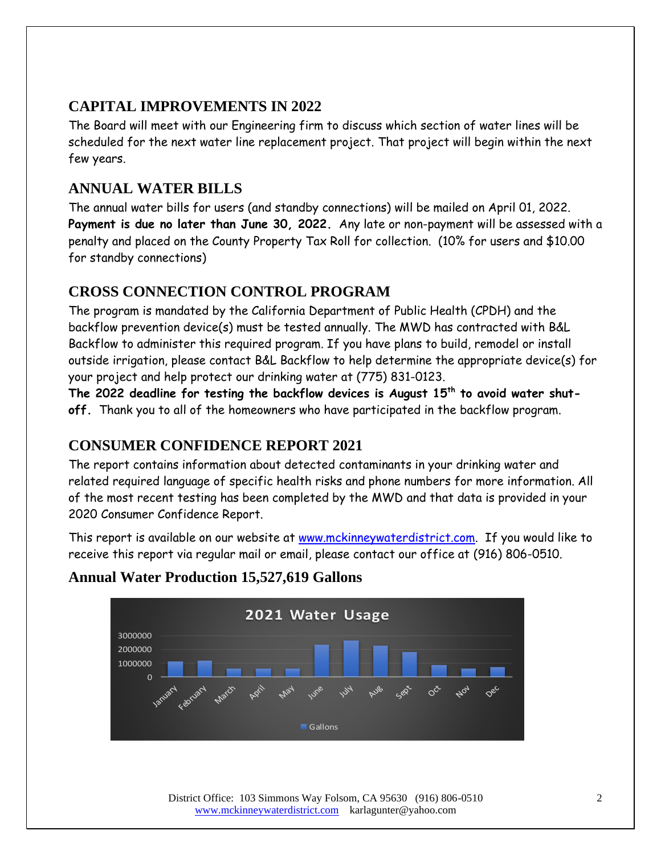# **CAPITAL IMPROVEMENTS IN 2022**

The Board will meet with our Engineering firm to discuss which section of water lines will be scheduled for the next water line replacement project. That project will begin within the next few years.

# **ANNUAL WATER BILLS**

The annual water bills for users (and standby connections) will be mailed on April 01, 2022. **Payment is due no later than June 30, 2022.** Any late or non-payment will be assessed with a penalty and placed on the County Property Tax Roll for collection. (10% for users and \$10.00 for standby connections)

# **CROSS CONNECTION CONTROL PROGRAM**

The program is mandated by the California Department of Public Health (CPDH) and the backflow prevention device(s) must be tested annually. The MWD has contracted with B&L Backflow to administer this required program. If you have plans to build, remodel or install outside irrigation, please contact B&L Backflow to help determine the appropriate device(s) for your project and help protect our drinking water at (775) 831-0123.

**The 2022 deadline for testing the backflow devices is August 15th to avoid water shutoff.** Thank you to all of the homeowners who have participated in the backflow program.

# **CONSUMER CONFIDENCE REPORT 2021**

The report contains information about detected contaminants in your drinking water and related required language of specific health risks and phone numbers for more information. All of the most recent testing has been completed by the MWD and that data is provided in your 2020 Consumer Confidence Report.

This report is available on our website at [www.mckinneywaterdistrict.com.](http://www.mckinneywaterdistrict.com/) If you would like to receive this report via regular mail or email, please contact our office at (916) 806-0510.



### **Annual Water Production 15,527,619 Gallons**